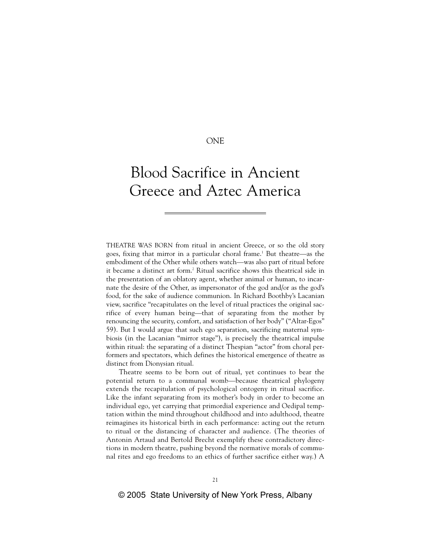### ONE

# Blood Sacrifice in Ancient Greece and Aztec America

THEATRE WAS BORN from ritual in ancient Greece, or so the old story goes, fixing that mirror in a particular choral frame.1 But theatre—as the embodiment of the Other while others watch—was also part of ritual before it became a distinct art form.<sup>2</sup> Ritual sacrifice shows this theatrical side in the presentation of an oblatory agent, whether animal or human, to incarnate the desire of the Other, as impersonator of the god and/or as the god's food, for the sake of audience communion. In Richard Boothby's Lacanian view, sacrifice "recapitulates on the level of ritual practices the original sacrifice of every human being—that of separating from the mother by renouncing the security, comfort, and satisfaction of her body" ("Altar-Egos" 59). But I would argue that such ego separation, sacrificing maternal symbiosis (in the Lacanian "mirror stage"), is precisely the theatrical impulse within ritual: the separating of a distinct Thespian "actor" from choral performers and spectators, which defines the historical emergence of theatre as distinct from Dionysian ritual.

Theatre seems to be born out of ritual, yet continues to bear the potential return to a communal womb—because theatrical phylogeny extends the recapitulation of psychological ontogeny in ritual sacrifice. Like the infant separating from its mother's body in order to become an individual ego, yet carrying that primordial experience and Oedipal temptation within the mind throughout childhood and into adulthood, theatre reimagines its historical birth in each performance: acting out the return to ritual or the distancing of character and audience. (The theories of Antonin Artaud and Bertold Brecht exemplify these contradictory directions in modern theatre, pushing beyond the normative morals of communal rites and ego freedoms to an ethics of further sacrifice either way.) A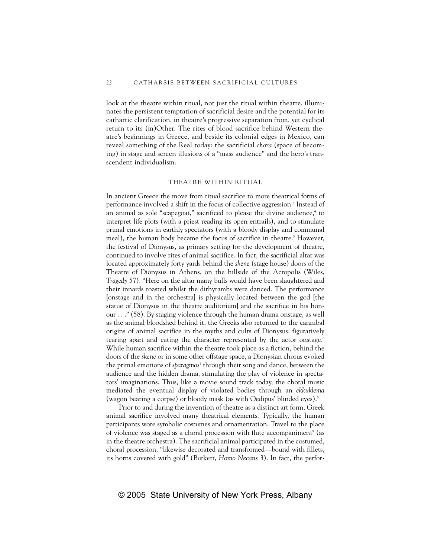look at the theatre within ritual, not just the ritual within theatre, illuminates the persistent temptation of sacrificial desire and the potential for its cathartic clarification, in theatre's progressive separation from, yet cyclical return to its (m)Other. The rites of blood sacrifice behind Western theatre's beginnings in Greece, and beside its colonial edges in Mexico, can reveal something of the Real today: the sacrificial *chora* (space of becoming) in stage and screen illusions of a "mass audience" and the hero's transcendent individualism.

#### THEATRE WITHIN RITUAL

In ancient Greece the move from ritual sacrifice to more theatrical forms of performance involved a shift in the focus of collective aggression.<sup>3</sup> Instead of an animal as sole "scapegoat," sacrificed to please the divine audience,<sup>4</sup> to interpret life plots (with a priest reading its open entrails), and to stimulate primal emotions in earthly spectators (with a bloody display and communal meal), the human body became the focus of sacrifice in theatre.<sup>5</sup> However, the festival of Dionysus, as primary setting for the development of theatre, continued to involve rites of animal sacrifice. In fact, the sacrificial altar was located approximately forty yards behind the *skene* (stage house) doors of the Theatre of Dionysus in Athens, on the hillside of the Acropolis (Wiles, *Tragedy* 57). "Here on the altar many bulls would have been slaughtered and their innards roasted whilst the dithyrambs were danced. The performance [onstage and in the orchestra] is physically located between the god [the statue of Dionysus in the theatre auditorium] and the sacrifice in his honour . . ." (58). By staging violence through the human drama onstage, as well as the animal bloodshed behind it, the Greeks also returned to the cannibal origins of animal sacrifice in the myths and cults of Dionysus: figuratively tearing apart and eating the character represented by the actor onstage.<sup>6</sup> While human sacrifice within the theatre took place as a fiction, behind the doors of the *skene* or in some other offstage space, a Dionysian chorus evoked the primal emotions of *sparagmos*<sup>7</sup> through their song and dance, between the audience and the hidden drama, stimulating the play of violence in spectators' imaginations. Thus, like a movie sound track today, the choral music mediated the eventual display of violated bodies through an *ekkuklema* (wagon bearing a corpse) or bloody mask (as with Oedipus' blinded eyes).8

Prior to and during the invention of theatre as a distinct art form, Greek animal sacrifice involved many theatrical elements. Typically, the human participants wore symbolic costumes and ornamentation. Travel to the place of violence was staged as a choral procession with flute accompaniment<sup>9</sup> (as in the theatre orchestra). The sacrificial animal participated in the costumed, choral procession, "likewise decorated and transformed—bound with fillets, its horns covered with gold" (Burkert, *Homo Necans* 3). In fact, the perfor-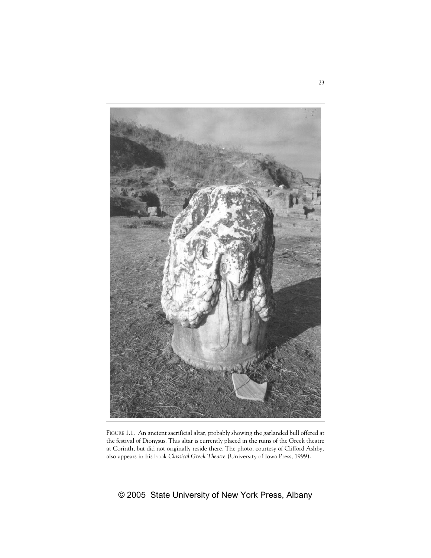

FIGURE 1.1. An ancient sacrificial altar, probably showing the garlanded bull offered at the festival of Dionysus. This altar is currently placed in the ruins of the Greek theatre at Corinth, but did not originally reside there. The photo, courtesy of Clifford Ashby, also appears in his book *Classical Greek Theatre* (University of Iowa Press, 1999).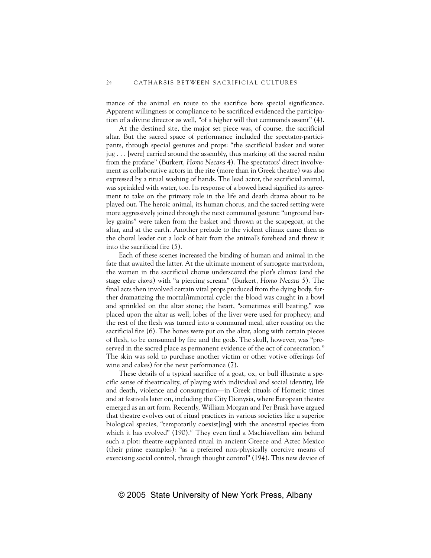mance of the animal en route to the sacrifice bore special significance. Apparent willingness or compliance to be sacrificed evidenced the participation of a divine director as well, "of a higher will that commands assent" (4).

At the destined site, the major set piece was, of course, the sacrificial altar. But the sacred space of performance included the spectator-participants, through special gestures and props: "the sacrificial basket and water jug . . . [were] carried around the assembly, thus marking off the sacred realm from the profane" (Burkert, *Homo Necans* 4). The spectators' direct involvement as collaborative actors in the rite (more than in Greek theatre) was also expressed by a ritual washing of hands. The lead actor, the sacrificial animal, was sprinkled with water, too. Its response of a bowed head signified its agreement to take on the primary role in the life and death drama about to be played out. The heroic animal, its human chorus, and the sacred setting were more aggressively joined through the next communal gesture: "unground barley grains" were taken from the basket and thrown at the scapegoat, at the altar, and at the earth. Another prelude to the violent climax came then as the choral leader cut a lock of hair from the animal's forehead and threw it into the sacrificial fire (5).

Each of these scenes increased the binding of human and animal in the fate that awaited the latter. At the ultimate moment of surrogate martyrdom, the women in the sacrificial chorus underscored the plot's climax (and the stage edge *chora*) with "a piercing scream" (Burkert, *Homo Necans* 5). The final acts then involved certain vital props produced from the dying body, further dramatizing the mortal/immortal cycle: the blood was caught in a bowl and sprinkled on the altar stone; the heart, "sometimes still beating," was placed upon the altar as well; lobes of the liver were used for prophecy; and the rest of the flesh was turned into a communal meal, after roasting on the sacrificial fire (6). The bones were put on the altar, along with certain pieces of flesh, to be consumed by fire and the gods. The skull, however, was "preserved in the sacred place as permanent evidence of the act of consecration." The skin was sold to purchase another victim or other votive offerings (of wine and cakes) for the next performance (7).

These details of a typical sacrifice of a goat, ox, or bull illustrate a specific sense of theatricality, of playing with individual and social identity, life and death, violence and consumption—in Greek rituals of Homeric times and at festivals later on, including the City Dionysia, where European theatre emerged as an art form. Recently, William Morgan and Per Brask have argued that theatre evolves out of ritual practices in various societies like a superior biological species, "temporarily coexist[ing] with the ancestral species from which it has evolved" (190).<sup>10</sup> They even find a Machiavellian aim behind such a plot: theatre supplanted ritual in ancient Greece and Aztec Mexico (their prime examples): "as a preferred non-physically coercive means of exercising social control, through thought control" (194). This new device of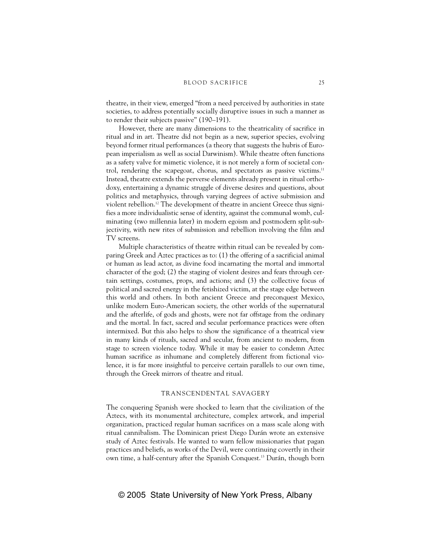theatre, in their view, emerged "from a need perceived by authorities in state societies, to address potentially socially disruptive issues in such a manner as to render their subjects passive" (190–191).

However, there are many dimensions to the theatricality of sacrifice in ritual and in art. Theatre did not begin as a new, superior species, evolving beyond former ritual performances (a theory that suggests the hubris of European imperialism as well as social Darwinism). While theatre often functions as a safety valve for mimetic violence, it is not merely a form of societal control, rendering the scapegoat, chorus, and spectators as passive victims.<sup>11</sup> Instead, theatre extends the perverse elements already present in ritual orthodoxy, entertaining a dynamic struggle of diverse desires and questions, about politics and metaphysics, through varying degrees of active submission and violent rebellion.<sup>12</sup> The development of theatre in ancient Greece thus signifies a more individualistic sense of identity, against the communal womb, culminating (two millennia later) in modern egoism and postmodern split-subjectivity, with new rites of submission and rebellion involving the film and TV screens.

Multiple characteristics of theatre within ritual can be revealed by comparing Greek and Aztec practices as to: (1) the offering of a sacrificial animal or human as lead actor, as divine food incarnating the mortal and immortal character of the god; (2) the staging of violent desires and fears through certain settings, costumes, props, and actions; and (3) the collective focus of political and sacred energy in the fetishized victim, at the stage edge between this world and others. In both ancient Greece and preconquest Mexico, unlike modern Euro-American society, the other worlds of the supernatural and the afterlife, of gods and ghosts, were not far offstage from the ordinary and the mortal. In fact, sacred and secular performance practices were often intermixed. But this also helps to show the significance of a theatrical view in many kinds of rituals, sacred and secular, from ancient to modern, from stage to screen violence today. While it may be easier to condemn Aztec human sacrifice as inhumane and completely different from fictional violence, it is far more insightful to perceive certain parallels to our own time, through the Greek mirrors of theatre and ritual.

#### TRANSCENDENTAL SAVAGERY

The conquering Spanish were shocked to learn that the civilization of the Aztecs, with its monumental architecture, complex artwork, and imperial organization, practiced regular human sacrifices on a mass scale along with ritual cannibalism. The Dominican priest Diego Durán wrote an extensive study of Aztec festivals. He wanted to warn fellow missionaries that pagan practices and beliefs, as works of the Devil, were continuing covertly in their own time, a half-century after the Spanish Conquest.13 Durán, though born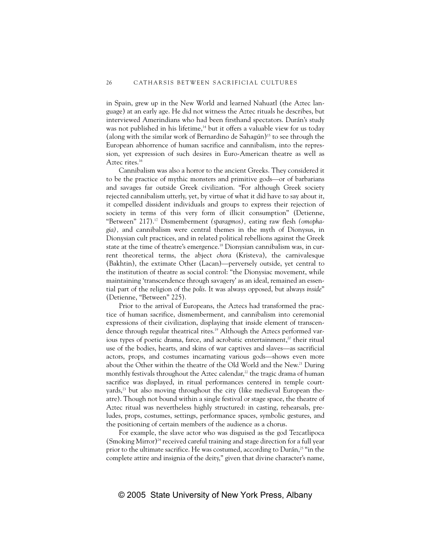in Spain, grew up in the New World and learned Nahuatl (the Aztec language) at an early age. He did not witness the Aztec rituals he describes, but interviewed Amerindians who had been firsthand spectators. Durán's study was not published in his lifetime,<sup>14</sup> but it offers a valuable view for us today (along with the similar work of Bernardino de Sahagún)15 to see through the European abhorrence of human sacrifice and cannibalism, into the repression, yet expression of such desires in Euro-American theatre as well as Aztec rites.<sup>16</sup>

Cannibalism was also a horror to the ancient Greeks. They considered it to be the practice of mythic monsters and primitive gods—or of barbarians and savages far outside Greek civilization. "For although Greek society rejected cannibalism utterly, yet, by virtue of what it did have to say about it, it compelled dissident individuals and groups to express their rejection of society in terms of this very form of illicit consumption" (Detienne, "Between" 217).17 Dismemberment *(sparagmos),* eating raw flesh *(omophagia),* and cannibalism were central themes in the myth of Dionysus, in Dionysian cult practices, and in related political rebellions against the Greek state at the time of theatre's emergence.<sup>18</sup> Dionysian cannibalism was, in current theoretical terms, the abject *chora* (Kristeva), the carnivalesque (Bakhtin), the extimate Other (Lacan)—perversely outside, yet central to the institution of theatre as social control: "the Dionysiac movement, while maintaining 'transcendence through savagery' as an ideal, remained an essential part of the religion of the *polis*. It was always opposed, but always *inside*" (Detienne, "Between" 225).

Prior to the arrival of Europeans, the Aztecs had transformed the practice of human sacrifice, dismemberment, and cannibalism into ceremonial expressions of their civilization, displaying that inside element of transcendence through regular theatrical rites.<sup>19</sup> Although the Aztecs performed various types of poetic drama, farce, and acrobatic entertainment,<sup>20</sup> their ritual use of the bodies, hearts, and skins of war captives and slaves—as sacrificial actors, props, and costumes incarnating various gods—shows even more about the Other within the theatre of the Old World and the New.<sup>21</sup> During monthly festivals throughout the Aztec calendar,<sup>22</sup> the tragic drama of human sacrifice was displayed, in ritual performances centered in temple courtyards,<sup>23</sup> but also moving throughout the city (like medieval European theatre). Though not bound within a single festival or stage space, the theatre of Aztec ritual was nevertheless highly structured: in casting, rehearsals, preludes, props, costumes, settings, performance spaces, symbolic gestures, and the positioning of certain members of the audience as a chorus.

For example, the slave actor who was disguised as the god Tezcatlipoca  $(Smoking Mirror)<sup>24</sup> received careful training and stage direction for a full year$ prior to the ultimate sacrifice. He was costumed, according to Durán,<sup>25</sup> "in the complete attire and insignia of the deity," given that divine character's name,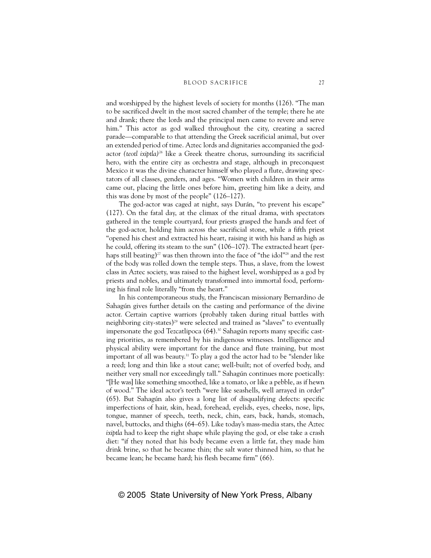and worshipped by the highest levels of society for months (126). "The man to be sacrificed dwelt in the most sacred chamber of the temple; there he ate and drank; there the lords and the principal men came to revere and serve him." This actor as god walked throughout the city, creating a sacred parade—comparable to that attending the Greek sacrificial animal, but over an extended period of time. Aztec lords and dignitaries accompanied the godactor *(teotl ixiptla)*<sup>26</sup> like a Greek theatre chorus, surrounding its sacrificial hero, with the entire city as orchestra and stage, although in preconquest Mexico it was the divine character himself who played a flute, drawing spectators of all classes, genders, and ages. "Women with children in their arms came out, placing the little ones before him, greeting him like a deity, and this was done by most of the people" (126–127).

The god-actor was caged at night, says Durán, "to prevent his escape" (127). On the fatal day, at the climax of the ritual drama, with spectators gathered in the temple courtyard, four priests grasped the hands and feet of the god-actor, holding him across the sacrificial stone, while a fifth priest "opened his chest and extracted his heart, raising it with his hand as high as he could, offering its steam to the sun" (106–107). The extracted heart (perhaps still beating)<sup>27</sup> was then thrown into the face of "the idol"<sup>28</sup> and the rest of the body was rolled down the temple steps. Thus, a slave, from the lowest class in Aztec society, was raised to the highest level, worshipped as a god by priests and nobles, and ultimately transformed into immortal food, performing his final role literally "from the heart."

In his contemporaneous study, the Franciscan missionary Bernardino de Sahagún gives further details on the casting and performance of the divine actor. Certain captive warriors (probably taken during ritual battles with neighboring city-states)<sup>29</sup> were selected and trained as "slaves" to eventually impersonate the god Tezcatlipoca (64).<sup>30</sup> Sahagún reports many specific casting priorities, as remembered by his indigenous witnesses. Intelligence and physical ability were important for the dance and flute training, but most important of all was beauty.<sup>31</sup> To play a god the actor had to be "slender like a reed; long and thin like a stout cane; well-built; not of overfed body, and neither very small nor exceedingly tall." Sahagún continues more poetically: "[He was] like something smoothed, like a tomato, or like a pebble, as if hewn of wood." The ideal actor's teeth "were like seashells, well arrayed in order" (65). But Sahagún also gives a long list of disqualifying defects: specific imperfections of hair, skin, head, forehead, eyelids, eyes, cheeks, nose, lips, tongue, manner of speech, teeth, neck, chin, ears, back, hands, stomach, navel, buttocks, and thighs (64–65). Like today's mass-media stars, the Aztec *ixiptla* had to keep the right shape while playing the god, or else take a crash diet: "if they noted that his body became even a little fat, they made him drink brine, so that he became thin; the salt water thinned him, so that he became lean; he became hard; his flesh became firm" (66).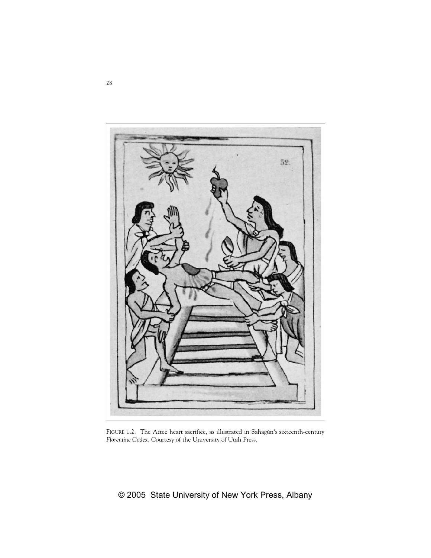

FIGURE 1.2. The Aztec heart sacrifice, as illustrated in Sahagún's sixteenth-century *Florentine Codex*. Courtesy of the University of Utah Press.

#### 28

## © 2005 State University of New York Press, Albany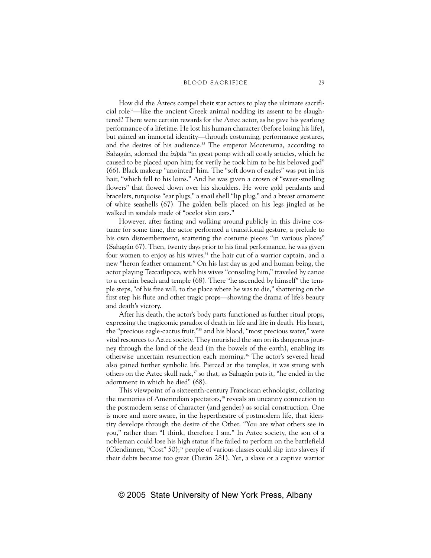How did the Aztecs compel their star actors to play the ultimate sacrificial role32—like the ancient Greek animal nodding its assent to be slaughtered? There were certain rewards for the Aztec actor, as he gave his yearlong performance of a lifetime. He lost his human character (before losing his life), but gained an immortal identity—through costuming, performance gestures, and the desires of his audience.<sup>33</sup> The emperor Moctezuma, according to Sahagún, adorned the *ixiptla* "in great pomp with all costly articles, which he caused to be placed upon him; for verily he took him to be his beloved god" (66). Black makeup "anointed" him. The "soft down of eagles" was put in his hair, "which fell to his loins." And he was given a crown of "sweet-smelling flowers" that flowed down over his shoulders. He wore gold pendants and bracelets, turquoise "ear plugs," a snail shell "lip plug," and a breast ornament of white seashells (67). The golden bells placed on his legs jingled as he walked in sandals made of "ocelot skin ears."

However, after fasting and walking around publicly in this divine costume for some time, the actor performed a transitional gesture, a prelude to his own dismemberment, scattering the costume pieces "in various places" (Sahagún 67). Then, twenty days prior to his final performance, he was given four women to enjoy as his wives, $34$  the hair cut of a warrior captain, and a new "heron feather ornament." On his last day as god and human being, the actor playing Tezcatlipoca, with his wives "consoling him," traveled by canoe to a certain beach and temple (68). There "he ascended by himself" the temple steps, "of his free will, to the place where he was to die," shattering on the first step his flute and other tragic props—showing the drama of life's beauty and death's victory.

After his death, the actor's body parts functioned as further ritual props, expressing the tragicomic paradox of death in life and life in death. His heart, the "precious eagle-cactus fruit,"35 and his blood, "most precious water," were vital resources to Aztec society. They nourished the sun on its dangerous journey through the land of the dead (in the bowels of the earth), enabling its otherwise uncertain resurrection each morning.<sup>36</sup> The actor's severed head also gained further symbolic life. Pierced at the temples, it was strung with others on the Aztec skull rack,<sup>37</sup> so that, as Sahagún puts it, "he ended in the adornment in which he died" (68).

This viewpoint of a sixteenth-century Franciscan ethnologist, collating the memories of Amerindian spectators,<sup>38</sup> reveals an uncanny connection to the postmodern sense of character (and gender) as social construction. One is more and more aware, in the hypertheatre of postmodern life, that identity develops through the desire of the Other. "You are what others see in you," rather than "I think, therefore I am." In Aztec society, the son of a nobleman could lose his high status if he failed to perform on the battlefield (Clendinnen, "Cost"  $50$ );<sup>39</sup> people of various classes could slip into slavery if their debts became too great (Durán 281). Yet, a slave or a captive warrior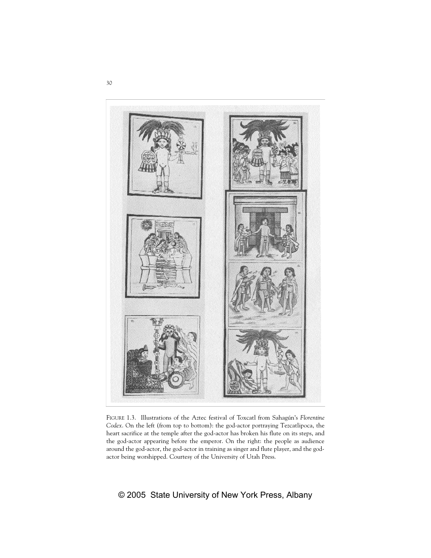

FIGURE 1.3. Illustrations of the Aztec festival of Toxcatl from Sahagún's *Florentine Codex*. On the left (from top to bottom): the god-actor portraying Tezcatlipoca, the heart sacrifice at the temple after the god-actor has broken his flute on its steps, and the god-actor appearing before the emperor. On the right: the people as audience around the god-actor, the god-actor in training as singer and flute player, and the godactor being worshipped. Courtesy of the University of Utah Press.

## © 2005 State University of New York Press, Albany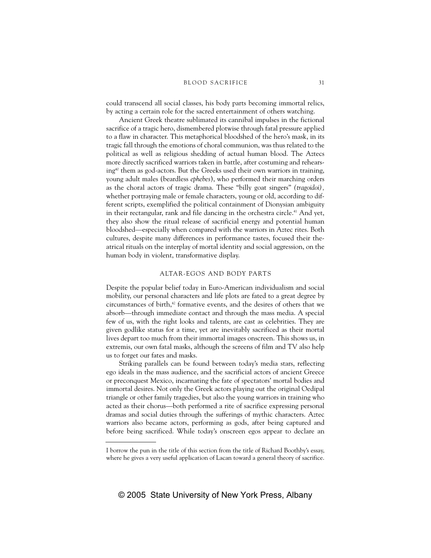could transcend all social classes, his body parts becoming immortal relics, by acting a certain role for the sacred entertainment of others watching.

Ancient Greek theatre sublimated its cannibal impulses in the fictional sacrifice of a tragic hero, dismembered plotwise through fatal pressure applied to a flaw in character. This metaphorical bloodshed of the hero's mask, in its tragic fall through the emotions of choral communion, was thus related to the political as well as religious shedding of actual human blood. The Aztecs more directly sacrificed warriors taken in battle, after costuming and rehears $ing<sup>40</sup>$  them as god-actors. But the Greeks used their own warriors in training, young adult males (beardless *ephebes*), who performed their marching orders as the choral actors of tragic drama. These "billy goat singers" *(tragoidoi),* whether portraying male or female characters, young or old, according to different scripts, exemplified the political containment of Dionysian ambiguity in their rectangular, rank and file dancing in the orchestra circle.<sup>41</sup> And yet, they also show the ritual release of sacrificial energy and potential human bloodshed—especially when compared with the warriors in Aztec rites. Both cultures, despite many differences in performance tastes, focused their theatrical rituals on the interplay of mortal identity and social aggression, on the human body in violent, transformative display.

#### ALTAR-EGOS AND BODY PARTS

Despite the popular belief today in Euro-American individualism and social mobility, our personal characters and life plots are fated to a great degree by circumstances of birth,<sup>42</sup> formative events, and the desires of others that we absorb—through immediate contact and through the mass media. A special few of us, with the right looks and talents, are cast as celebrities. They are given godlike status for a time, yet are inevitably sacrificed as their mortal lives depart too much from their immortal images onscreen. This shows us, in extremis, our own fatal masks, although the screens of film and TV also help us to forget our fates and masks.

Striking parallels can be found between today's media stars, reflecting ego ideals in the mass audience, and the sacrificial actors of ancient Greece or preconquest Mexico, incarnating the fate of spectators' mortal bodies and immortal desires. Not only the Greek actors playing out the original Oedipal triangle or other family tragedies, but also the young warriors in training who acted as their chorus—both performed a rite of sacrifice expressing personal dramas and social duties through the sufferings of mythic characters. Aztec warriors also became actors, performing as gods, after being captured and before being sacrificed. While today's onscreen egos appear to declare an

I borrow the pun in the title of this section from the title of Richard Boothby's essay, where he gives a very useful application of Lacan toward a general theory of sacrifice.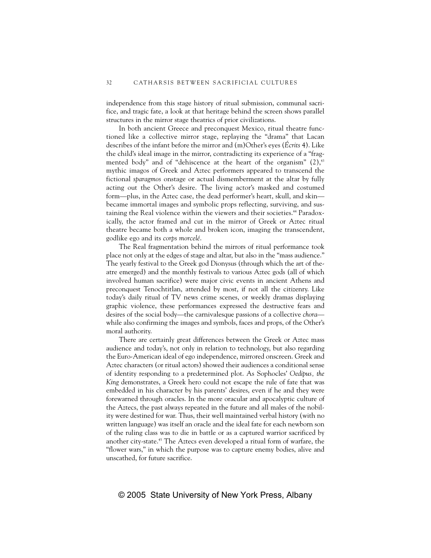independence from this stage history of ritual submission, communal sacrifice, and tragic fate, a look at that heritage behind the screen shows parallel structures in the mirror stage theatrics of prior civilizations.

In both ancient Greece and preconquest Mexico, ritual theatre functioned like a collective mirror stage, replaying the "drama" that Lacan describes of the infant before the mirror and (m)Other's eyes (*Écrits* 4). Like the child's ideal image in the mirror, contradicting its experience of a "fragmented body" and of "dehiscence at the heart of the organism"  $(2)$ ,<sup>43</sup> mythic imagos of Greek and Aztec performers appeared to transcend the fictional *sparagmos* onstage or actual dismemberment at the altar by fully acting out the Other's desire. The living actor's masked and costumed form—plus, in the Aztec case, the dead performer's heart, skull, and skin became immortal images and symbolic props reflecting, surviving, and sustaining the Real violence within the viewers and their societies.<sup>44</sup> Paradoxically, the actor framed and cut in the mirror of Greek or Aztec ritual theatre became both a whole and broken icon, imaging the transcendent, godlike ego and its *corps morcelé*.

The Real fragmentation behind the mirrors of ritual performance took place not only at the edges of stage and altar, but also in the "mass audience." The yearly festival to the Greek god Dionysus (through which the art of theatre emerged) and the monthly festivals to various Aztec gods (all of which involved human sacrifice) were major civic events in ancient Athens and preconquest Tenochtitlan, attended by most, if not all the citizenry. Like today's daily ritual of TV news crime scenes, or weekly dramas displaying graphic violence, these performances expressed the destructive fears and desires of the social body—the carnivalesque passions of a collective *chora* while also confirming the images and symbols, faces and props, of the Other's moral authority.

There are certainly great differences between the Greek or Aztec mass audience and today's, not only in relation to technology, but also regarding the Euro-American ideal of ego independence, mirrored onscreen. Greek and Aztec characters (or ritual actors) showed their audiences a conditional sense of identity responding to a predetermined plot. As Sophocles' *Oedipus, the King* demonstrates, a Greek hero could not escape the rule of fate that was embedded in his character by his parents' desires, even if he and they were forewarned through oracles. In the more oracular and apocalyptic culture of the Aztecs, the past always repeated in the future and all males of the nobility were destined for war. Thus, their well maintained verbal history (with no written language) was itself an oracle and the ideal fate for each newborn son of the ruling class was to die in battle or as a captured warrior sacrificed by another city-state.<sup>45</sup> The Aztecs even developed a ritual form of warfare, the "flower wars," in which the purpose was to capture enemy bodies, alive and unscathed, for future sacrifice.

## © 2005 State University of New York Press, Albany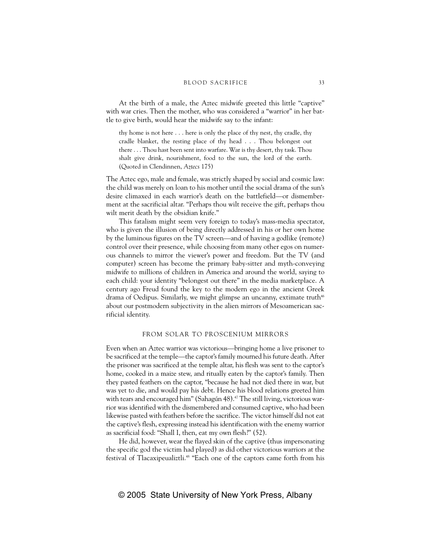At the birth of a male, the Aztec midwife greeted this little "captive" with war cries. Then the mother, who was considered a "warrior" in her battle to give birth, would hear the midwife say to the infant:

thy home is not here . . . here is only the place of thy nest, thy cradle, thy cradle blanket, the resting place of thy head . . . Thou belongest out there . . . Thou hast been sent into warfare. War is thy desert, thy task. Thou shalt give drink, nourishment, food to the sun, the lord of the earth. (Quoted in Clendinnen, *Aztecs* 175)

The Aztec ego, male and female, was strictly shaped by social and cosmic law: the child was merely on loan to his mother until the social drama of the sun's desire climaxed in each warrior's death on the battlefield—or dismemberment at the sacrificial altar. "Perhaps thou wilt receive the gift, perhaps thou wilt merit death by the obsidian knife."

This fatalism might seem very foreign to today's mass-media spectator, who is given the illusion of being directly addressed in his or her own home by the luminous figures on the TV screen—and of having a godlike (remote) control over their presence, while choosing from many other egos on numerous channels to mirror the viewer's power and freedom. But the TV (and computer) screen has become the primary baby-sitter and myth-conveying midwife to millions of children in America and around the world, saying to each child: your identity "belongest out there" in the media marketplace. A century ago Freud found the key to the modern ego in the ancient Greek drama of Oedipus. Similarly, we might glimpse an uncanny, extimate truth<sup>46</sup> about our postmodern subjectivity in the alien mirrors of Mesoamerican sacrificial identity.

#### FROM SOLAR TO PROSCENIUM MIRRORS

Even when an Aztec warrior was victorious—bringing home a live prisoner to be sacrificed at the temple—the captor's family mourned his future death. After the prisoner was sacrificed at the temple altar, his flesh was sent to the captor's home, cooked in a maize stew, and ritually eaten by the captor's family. Then they pasted feathers on the captor, "because he had not died there in war, but was yet to die, and would pay his debt. Hence his blood relations greeted him with tears and encouraged him" (Sahagún 48).<sup>47</sup> The still living, victorious warrior was identified with the dismembered and consumed captive, who had been likewise pasted with feathers before the sacrifice. The victor himself did not eat the captive's flesh, expressing instead his identification with the enemy warrior as sacrificial food: "Shall I, then, eat my own flesh?" (52).

He did, however, wear the flayed skin of the captive (thus impersonating the specific god the victim had played) as did other victorious warriors at the festival of Tlacaxipeualiztli.<sup>48</sup> "Each one of the captors came forth from his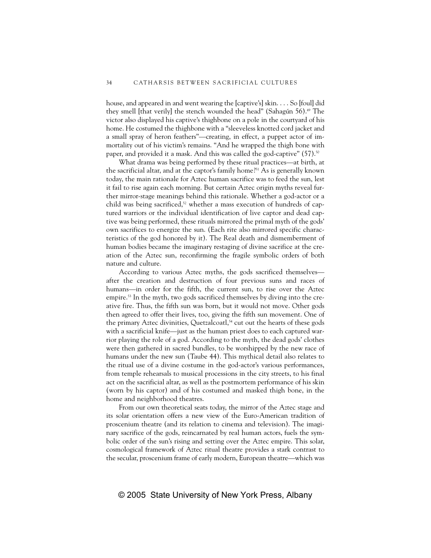house, and appeared in and went wearing the [captive's] skin. . . . So [foul] did they smell [that verily] the stench wounded the head" (Sahagún 56).<sup>49</sup> The victor also displayed his captive's thighbone on a pole in the courtyard of his home. He costumed the thighbone with a "sleeveless knotted cord jacket and a small spray of heron feathers"—creating, in effect, a puppet actor of immortality out of his victim's remains. "And he wrapped the thigh bone with paper, and provided it a mask. And this was called the god-captive" (57).<sup>50</sup>

What drama was being performed by these ritual practices—at birth, at the sacrificial altar, and at the captor's family home?<sup>51</sup> As is generally known today, the main rationale for Aztec human sacrifice was to feed the sun, lest it fail to rise again each morning. But certain Aztec origin myths reveal further mirror-stage meanings behind this rationale. Whether a god-actor or a child was being sacrificed, $52$  whether a mass execution of hundreds of captured warriors or the individual identification of live captor and dead captive was being performed, these rituals mirrored the primal myth of the gods' own sacrifices to energize the sun. (Each rite also mirrored specific characteristics of the god honored by it). The Real death and dismemberment of human bodies became the imaginary restaging of divine sacrifice at the creation of the Aztec sun, reconfirming the fragile symbolic orders of both nature and culture.

According to various Aztec myths, the gods sacrificed themselves after the creation and destruction of four previous suns and races of humans—in order for the fifth, the current sun, to rise over the Aztec empire.<sup>53</sup> In the myth, two gods sacrificed themselves by diving into the creative fire. Thus, the fifth sun was born, but it would not move. Other gods then agreed to offer their lives, too, giving the fifth sun movement. One of the primary Aztec divinities, Quetzalcoatl,<sup>54</sup> cut out the hearts of these gods with a sacrificial knife—just as the human priest does to each captured warrior playing the role of a god. According to the myth, the dead gods' clothes were then gathered in sacred bundles, to be worshipped by the new race of humans under the new sun (Taube 44). This mythical detail also relates to the ritual use of a divine costume in the god-actor's various performances, from temple rehearsals to musical processions in the city streets, to his final act on the sacrificial altar, as well as the postmortem performance of his skin (worn by his captor) and of his costumed and masked thigh bone, in the home and neighborhood theatres.

From our own theoretical seats today, the mirror of the Aztec stage and its solar orientation offers a new view of the Euro-American tradition of proscenium theatre (and its relation to cinema and television). The imaginary sacrifice of the gods, reincarnated by real human actors, fuels the symbolic order of the sun's rising and setting over the Aztec empire. This solar, cosmological framework of Aztec ritual theatre provides a stark contrast to the secular, proscenium frame of early modern, European theatre—which was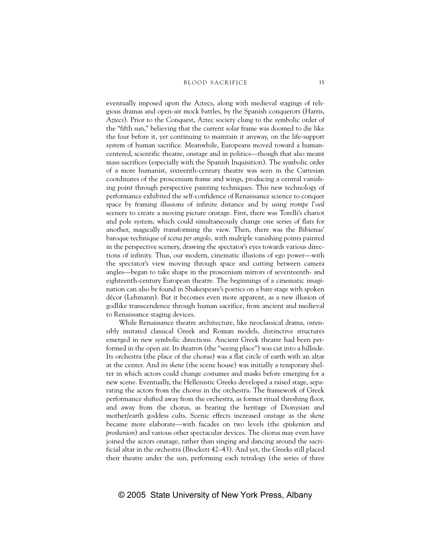eventually imposed upon the Aztecs, along with medieval stagings of religious dramas and open-air mock battles, by the Spanish conquerors (Harris, *Aztecs*). Prior to the Conquest, Aztec society clung to the symbolic order of the "fifth sun," believing that the current solar frame was doomed to die like the four before it, yet continuing to maintain it anyway, on the life-support system of human sacrifice. Meanwhile, Europeans moved toward a humancentered, scientific theatre, onstage and in politics—though that also meant mass sacrifices (especially with the Spanish Inquisition). The symbolic order of a more humanist, sixteenth-century theatre was seen in the Cartesian coordinates of the proscenium frame and wings, producing a central vanishing point through perspective painting techniques. This new technology of performance exhibited the self-confidence of Renaissance science to conquer space by framing illusions of infinite distance and by using *trompe l'oeil* scenery to create a moving picture onstage. First, there was Torelli's chariot and pole system, which could simultaneously change one series of flats for another, magically transforming the view. Then, there was the Bibienas' baroque technique of *scena per angolo,* with multiple vanishing points painted in the perspective scenery, drawing the spectator's eyes towards various directions of infinity. Thus, our modern, cinematic illusions of ego power—with the spectator's view moving through space and cutting between camera angles—began to take shape in the proscenium mirrors of seventeenth- and eighteenth-century European theatre. The beginnings of a cinematic imagination can also be found in Shakespeare's poetics on a bare stage with spoken décor (Lehmann). But it becomes even more apparent, as a new illusion of godlike transcendence through human sacrifice, from ancient and medieval to Renaissance staging devices.

While Renaissance theatre architecture, like neoclassical drama, ostensibly imitated classical Greek and Roman models, distinctive structures emerged in new symbolic directions. Ancient Greek theatre had been performed in the open air. Its *theatron* (the "seeing place") was cut into a hillside. Its orchestra (the place of the chorus) was a flat circle of earth with an altar at the center. And its *skene* (the scene house) was initially a temporary shelter in which actors could change costumes and masks before emerging for a new scene. Eventually, the Hellenistic Greeks developed a raised stage, separating the actors from the chorus in the orchestra. The framework of Greek performance shifted away from the orchestra, as former ritual threshing floor, and away from the chorus, as bearing the heritage of Dionysian and mother/earth goddess cults. Scenic effects increased onstage as the *skene* became more elaborate—with facades on two levels (the *episkenion* and *proskenion*) and various other spectacular devices. The chorus may even have joined the actors onstage, rather than singing and dancing around the sacrificial altar in the orchestra (Brockett 42–43). And yet, the Greeks still placed their theatre under the sun, performing each tetralogy (the series of three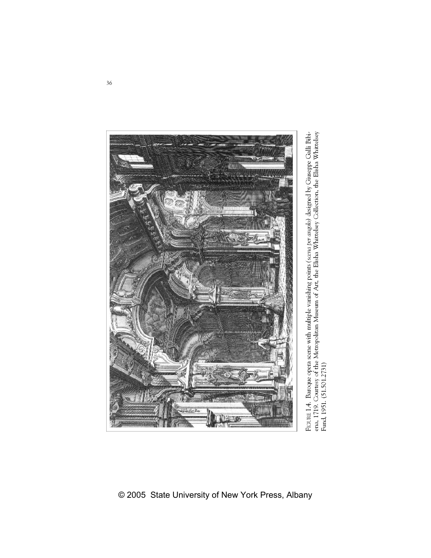

FIGURE 1.4. Baroque opera scene with multiple vanishing points (scena per angolo) designed by Giuseppe Galli Bibi-<br>ena, 1719. Courtesy of the Metropolitan Museum of Art, the Elisha Whittelsey Collection, the Elisha Whittel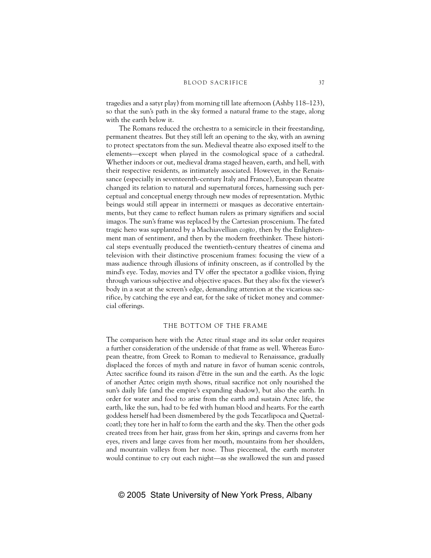tragedies and a satyr play) from morning till late afternoon (Ashby 118–123), so that the sun's path in the sky formed a natural frame to the stage, along with the earth below it.

The Romans reduced the orchestra to a semicircle in their freestanding, permanent theatres. But they still left an opening to the sky, with an awning to protect spectators from the sun. Medieval theatre also exposed itself to the elements—except when played in the cosmological space of a cathedral. Whether indoors or out, medieval drama staged heaven, earth, and hell, with their respective residents, as intimately associated. However, in the Renaissance (especially in seventeenth-century Italy and France), European theatre changed its relation to natural and supernatural forces, harnessing such perceptual and conceptual energy through new modes of representation. Mythic beings would still appear in intermezzi or masques as decorative entertainments, but they came to reflect human rulers as primary signifiers and social imagos. The sun's frame was replaced by the Cartesian proscenium. The fated tragic hero was supplanted by a Machiavellian *cogito,* then by the Enlightenment man of sentiment, and then by the modern freethinker. These historical steps eventually produced the twentieth-century theatres of cinema and television with their distinctive proscenium frames: focusing the view of a mass audience through illusions of infinity onscreen, as if controlled by the mind's eye. Today, movies and TV offer the spectator a godlike vision, flying through various subjective and objective spaces. But they also fix the viewer's body in a seat at the screen's edge, demanding attention at the vicarious sacrifice, by catching the eye and ear, for the sake of ticket money and commercial offerings.

#### THE BOTTOM OF THE FRAME

The comparison here with the Aztec ritual stage and its solar order requires a further consideration of the underside of that frame as well. Whereas European theatre, from Greek to Roman to medieval to Renaissance, gradually displaced the forces of myth and nature in favor of human scenic controls, Aztec sacrifice found its raison d'être in the sun and the earth. As the logic of another Aztec origin myth shows, ritual sacrifice not only nourished the sun's daily life (and the empire's expanding shadow), but also the earth. In order for water and food to arise from the earth and sustain Aztec life, the earth, like the sun, had to be fed with human blood and hearts. For the earth goddess herself had been dismembered by the gods Tezcatlipoca and Quetzalcoatl; they tore her in half to form the earth and the sky. Then the other gods created trees from her hair, grass from her skin, springs and caverns from her eyes, rivers and large caves from her mouth, mountains from her shoulders, and mountain valleys from her nose. Thus piecemeal, the earth monster would continue to cry out each night—as she swallowed the sun and passed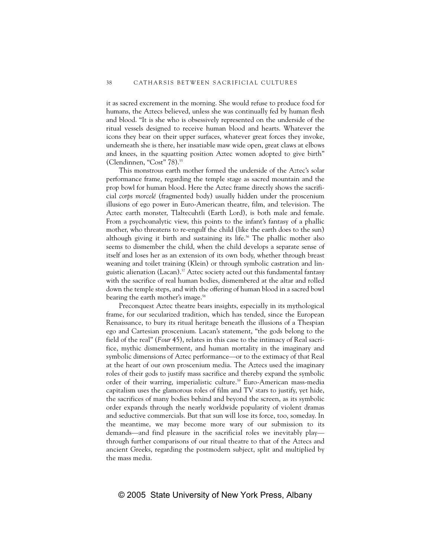it as sacred excrement in the morning. She would refuse to produce food for humans, the Aztecs believed, unless she was continually fed by human flesh and blood. "It is she who is obsessively represented on the underside of the ritual vessels designed to receive human blood and hearts. Whatever the icons they bear on their upper surfaces, whatever great forces they invoke, underneath she is there, her insatiable maw wide open, great claws at elbows and knees, in the squatting position Aztec women adopted to give birth" (Clendinnen, "Cost" 78).55

This monstrous earth mother formed the underside of the Aztec's solar performance frame, regarding the temple stage as sacred mountain and the prop bowl for human blood. Here the Aztec frame directly shows the sacrificial *corps morcelé* (fragmented body) usually hidden under the proscenium illusions of ego power in Euro-American theatre, film, and television. The Aztec earth monster, Tlaltecuhtli (Earth Lord), is both male and female. From a psychoanalytic view, this points to the infant's fantasy of a phallic mother, who threatens to re-engulf the child (like the earth does to the sun) although giving it birth and sustaining its life.<sup>56</sup> The phallic mother also seems to dismember the child, when the child develops a separate sense of itself and loses her as an extension of its own body, whether through breast weaning and toilet training (Klein) or through symbolic castration and linguistic alienation (Lacan).<sup>57</sup> Aztec society acted out this fundamental fantasy with the sacrifice of real human bodies, dismembered at the altar and rolled down the temple steps, and with the offering of human blood in a sacred bowl bearing the earth mother's image.<sup>58</sup>

Preconquest Aztec theatre bears insights, especially in its mythological frame, for our secularized tradition, which has tended, since the European Renaissance, to bury its ritual heritage beneath the illusions of a Thespian ego and Cartesian proscenium. Lacan's statement, "the gods belong to the field of the real" (*Four* 45), relates in this case to the intimacy of Real sacrifice, mythic dismemberment, and human mortality in the imaginary and symbolic dimensions of Aztec performance—or to the extimacy of that Real at the heart of our own proscenium media. The Aztecs used the imaginary roles of their gods to justify mass sacrifice and thereby expand the symbolic order of their warring, imperialistic culture.59 Euro-American mass-media capitalism uses the glamorous roles of film and TV stars to justify, yet hide, the sacrifices of many bodies behind and beyond the screen, as its symbolic order expands through the nearly worldwide popularity of violent dramas and seductive commercials. But that sun will lose its force, too, someday. In the meantime, we may become more wary of our submission to its demands—and find pleasure in the sacrificial roles we inevitably play through further comparisons of our ritual theatre to that of the Aztecs and ancient Greeks, regarding the postmodern subject, split and multiplied by the mass media.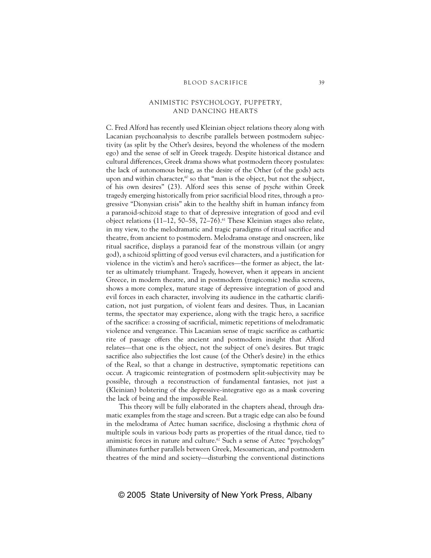#### BLOOD SACRIFICE 39

#### ANIMISTIC PSYCHOLOGY, PUPPETRY, AND DANCING HEARTS

C. Fred Alford has recently used Kleinian object relations theory along with Lacanian psychoanalysis to describe parallels between postmodern subjectivity (as split by the Other's desires, beyond the wholeness of the modern ego) and the sense of self in Greek tragedy. Despite historical distance and cultural differences, Greek drama shows what postmodern theory postulates: the lack of autonomous being, as the desire of the Other (of the gods) acts upon and within character, $60$  so that "man is the object, but not the subject, of his own desires" (23). Alford sees this sense of *psyche* within Greek tragedy emerging historically from prior sacrificial blood rites, through a progressive "Dionysian crisis" akin to the healthy shift in human infancy from a paranoid-schizoid stage to that of depressive integration of good and evil object relations  $(11–12, 50–58, 72–76)$ .<sup>61</sup> These Kleinian stages also relate, in my view, to the melodramatic and tragic paradigms of ritual sacrifice and theatre, from ancient to postmodern. Melodrama onstage and onscreen, like ritual sacrifice, displays a paranoid fear of the monstrous villain (or angry god), a schizoid splitting of good versus evil characters, and a justification for violence in the victim's and hero's sacrifices—the former as abject, the latter as ultimately triumphant. Tragedy, however, when it appears in ancient Greece, in modern theatre, and in postmodern (tragicomic) media screens, shows a more complex, mature stage of depressive integration of good and evil forces in each character, involving its audience in the cathartic clarification, not just purgation, of violent fears and desires. Thus, in Lacanian terms, the spectator may experience, along with the tragic hero, a sacrifice of the sacrifice: a crossing of sacrificial, mimetic repetitions of melodramatic violence and vengeance. This Lacanian sense of tragic sacrifice as cathartic rite of passage offers the ancient and postmodern insight that Alford relates—that one is the object, not the subject of one's desires. But tragic sacrifice also subjectifies the lost cause (of the Other's desire) in the ethics of the Real, so that a change in destructive, symptomatic repetitions can occur. A tragicomic reintegration of postmodern split-subjectivity may be possible, through a reconstruction of fundamental fantasies, not just a (Kleinian) bolstering of the depressive-integrative ego as a mask covering the lack of being and the impossible Real.

This theory will be fully elaborated in the chapters ahead, through dramatic examples from the stage and screen. But a tragic edge can also be found in the melodrama of Aztec human sacrifice, disclosing a rhythmic *chora* of multiple souls in various body parts as properties of the ritual dance, tied to animistic forces in nature and culture.<sup>62</sup> Such a sense of Aztec "psychology" illuminates further parallels between Greek, Mesoamerican, and postmodern theatres of the mind and society—disturbing the conventional distinctions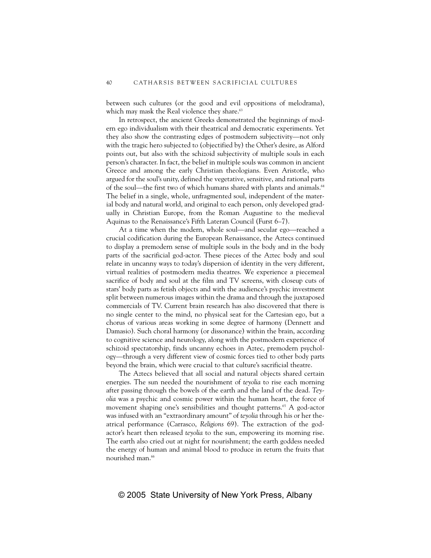between such cultures (or the good and evil oppositions of melodrama), which may mask the Real violence they share.<sup>63</sup>

In retrospect, the ancient Greeks demonstrated the beginnings of modern ego individualism with their theatrical and democratic experiments. Yet they also show the contrasting edges of postmodern subjectivity—not only with the tragic hero subjected to (objectified by) the Other's desire, as Alford points out, but also with the schizoid subjectivity of multiple souls in each person's character. In fact, the belief in multiple souls was common in ancient Greece and among the early Christian theologians. Even Aristotle, who argued for the soul's unity, defined the vegetative, sensitive, and rational parts of the soul—the first two of which humans shared with plants and animals.<sup>64</sup> The belief in a single, whole, unfragmented soul, independent of the material body and natural world, and original to each person, only developed gradually in Christian Europe, from the Roman Augustine to the medieval Aquinas to the Renaissance's Fifth Lateran Council (Furst 6–7).

At a time when the modern, whole soul—and secular ego—reached a crucial codification during the European Renaissance, the Aztecs continued to display a premodern sense of multiple souls in the body and in the body parts of the sacrificial god-actor. These pieces of the Aztec body and soul relate in uncanny ways to today's dispersion of identity in the very different, virtual realities of postmodern media theatres. We experience a piecemeal sacrifice of body and soul at the film and TV screens, with closeup cuts of stars' body parts as fetish objects and with the audience's psychic investment split between numerous images within the drama and through the juxtaposed commercials of TV. Current brain research has also discovered that there is no single center to the mind, no physical seat for the Cartesian ego, but a chorus of various areas working in some degree of harmony (Dennett and Damasio). Such choral harmony (or dissonance) within the brain, according to cognitive science and neurology, along with the postmodern experience of schizoid spectatorship, finds uncanny echoes in Aztec, premodern psychology—through a very different view of cosmic forces tied to other body parts beyond the brain, which were crucial to that culture's sacrificial theatre.

The Aztecs believed that all social and natural objects shared certain energies. The sun needed the nourishment of *teyolia* to rise each morning after passing through the bowels of the earth and the land of the dead. *Teyolia* was a psychic and cosmic power within the human heart, the force of movement shaping one's sensibilities and thought patterns.<sup>65</sup> A god-actor was infused with an "extraordinary amount" of *teyolia* through his or her theatrical performance (Carrasco, *Religions* 69). The extraction of the godactor's heart then released *teyolia* to the sun, empowering its morning rise. The earth also cried out at night for nourishment; the earth goddess needed the energy of human and animal blood to produce in return the fruits that nourished man.<sup>66</sup>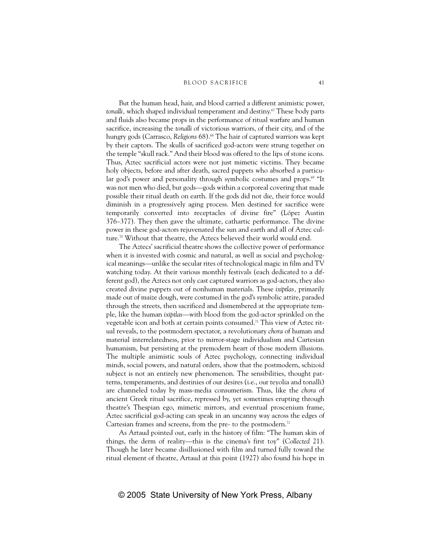But the human head, hair, and blood carried a different animistic power, tonalli, which shaped individual temperament and destiny.<sup>67</sup> These body parts and fluids also became props in the performance of ritual warfare and human sacrifice, increasing the *tonalli* of victorious warriors, of their city, and of the hungry gods (Carrasco, *Religions* 68).<sup>68</sup> The hair of captured warriors was kept by their captors. The skulls of sacrificed god-actors were strung together on the temple "skull rack." And their blood was offered to the lips of stone icons. Thus, Aztec sacrificial actors were not just mimetic victims. They became holy objects, before and after death, sacred puppets who absorbed a particular god's power and personality through symbolic costumes and props.<sup>69</sup> "It was not men who died, but gods—gods within a corporeal covering that made possible their ritual death on earth. If the gods did not die, their force would diminish in a progressively aging process. Men destined for sacrifice were temporarily converted into receptacles of divine fire" (López Austin 376–377). They then gave the ultimate, cathartic performance. The divine power in these god-actors rejuvenated the sun and earth and all of Aztec culture.70 Without that theatre, the Aztecs believed their world would end.

The Aztecs' sacrificial theatre shows the collective power of performance when it is invested with cosmic and natural, as well as social and psychological meanings—unlike the secular rites of technological magic in film and TV watching today. At their various monthly festivals (each dedicated to a different god), the Aztecs not only cast captured warriors as god-actors, they also created divine puppets out of nonhuman materials. These *ixiptlas,* primarily made out of maize dough, were costumed in the god's symbolic attire, paraded through the streets, then sacrificed and dismembered at the appropriate temple, like the human *ixiptlas*—with blood from the god-actor sprinkled on the vegetable icon and both at certain points consumed.<sup>71</sup> This view of Aztec ritual reveals, to the postmodern spectator, a revolutionary *chora* of human and material interrelatedness, prior to mirror-stage individualism and Cartesian humanism, but persisting at the premodern heart of those modern illusions. The multiple animistic souls of Aztec psychology, connecting individual minds, social powers, and natural orders, show that the postmodern, schizoid subject is not an entirely new phenomenon. The sensibilities, thought patterns, temperaments, and destinies of our desires (i.e., our teyolia and tonalli) are channeled today by mass-media consumerism. Thus, like the *chora* of ancient Greek ritual sacrifice, repressed by, yet sometimes erupting through theatre's Thespian ego, mimetic mirrors, and eventual proscenium frame, Aztec sacrificial god-acting can speak in an uncanny way across the edges of Cartesian frames and screens, from the pre- to the postmodern.<sup>72</sup>

As Artaud pointed out, early in the history of film: "The human skin of things, the derm of reality—this is the cinema's first toy" (*Collected* 21). Though he later became disillusioned with film and turned fully toward the ritual element of theatre, Artaud at this point (1927) also found his hope in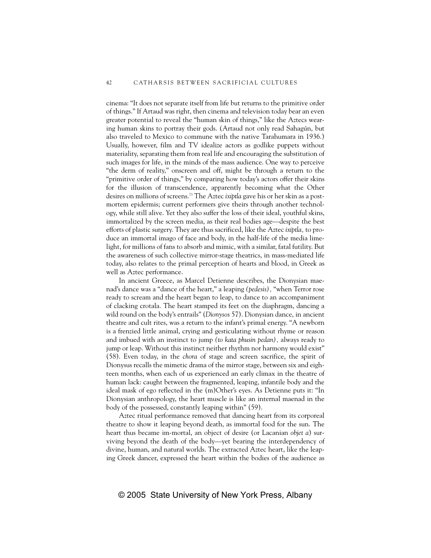cinema: "It does not separate itself from life but returns to the primitive order of things." If Artaud was right, then cinema and television today bear an even greater potential to reveal the "human skin of things," like the Aztecs wearing human skins to portray their gods. (Artaud not only read Sahagún, but also traveled to Mexico to commune with the native Tarahumara in 1936.) Usually, however, film and TV idealize actors as godlike puppets without materiality, separating them from real life and encouraging the substitution of such images for life, in the minds of the mass audience. One way to perceive "the derm of reality," onscreen and off, might be through a return to the "primitive order of things," by comparing how today's actors offer their skins for the illusion of transcendence, apparently becoming what the Other desires on millions of screens.73 The Aztec *ixiptla* gave his or her skin as a postmortem epidermis; current performers give theirs through another technology, while still alive. Yet they also suffer the loss of their ideal, youthful skins, immortalized by the screen media, as their real bodies age—despite the best efforts of plastic surgery. They are thus sacrificed, like the Aztec *ixiptla,* to produce an immortal imago of face and body, in the half-life of the media limelight, for millions of fans to absorb and mimic, with a similar, fatal futility. But the awareness of such collective mirror-stage theatrics, in mass-mediated life today, also relates to the primal perception of hearts and blood, in Greek as well as Aztec performance.

In ancient Greece, as Marcel Detienne describes, the Dionysian maenad's dance was a "dance of the heart," a leaping *(pedesis),* "when Terror rose ready to scream and the heart began to leap, to dance to an accompaniment of clacking crotala. The heart stamped its feet on the diaphragm, dancing a wild round on the body's entrails" (*Dionysos* 57). Dionysian dance, in ancient theatre and cult rites, was a return to the infant's primal energy. "A newborn is a frenzied little animal, crying and gesticulating without rhyme or reason and imbued with an instinct to jump *(to kata phusin pedan),* always ready to jump or leap. Without this instinct neither rhythm nor harmony would exist" (58). Even today, in the *chora* of stage and screen sacrifice, the spirit of Dionysus recalls the mimetic drama of the mirror stage, between six and eighteen months, when each of us experienced an early climax in the theatre of human lack: caught between the fragmented, leaping, infantile body and the ideal mask of ego reflected in the (m)Other's eyes. As Detienne puts it: "In Dionysian anthropology, the heart muscle is like an internal maenad in the body of the possessed, constantly leaping within" (59).

Aztec ritual performance removed that dancing heart from its corporeal theatre to show it leaping beyond death, as immortal food for the sun. The heart thus became im-mortal, an object of desire (or Lacanian *objet a*) surviving beyond the death of the body—yet bearing the interdependency of divine, human, and natural worlds. The extracted Aztec heart, like the leaping Greek dancer, expressed the heart within the bodies of the audience as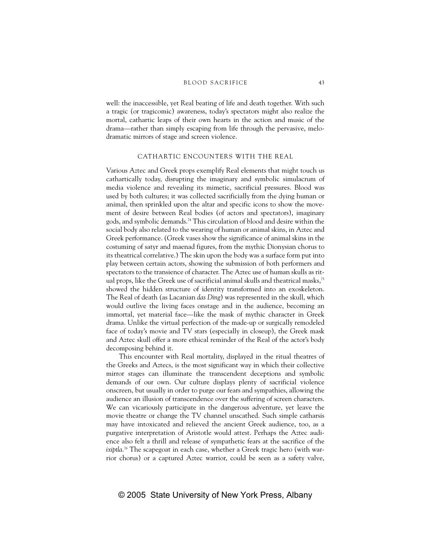well: the inaccessible, yet Real beating of life and death together. With such a tragic (or tragicomic) awareness, today's spectators might also realize the mortal, cathartic leaps of their own hearts in the action and music of the drama—rather than simply escaping from life through the pervasive, melodramatic mirrors of stage and screen violence.

#### CATHARTIC ENCOUNTERS WITH THE REAL

Various Aztec and Greek props exemplify Real elements that might touch us cathartically today, disrupting the imaginary and symbolic simulacrum of media violence and revealing its mimetic, sacrificial pressures. Blood was used by both cultures; it was collected sacrificially from the dying human or animal, then sprinkled upon the altar and specific icons to show the movement of desire between Real bodies (of actors and spectators), imaginary gods, and symbolic demands.74 This circulation of blood and desire within the social body also related to the wearing of human or animal skins, in Aztec and Greek performance. (Greek vases show the significance of animal skins in the costuming of satyr and maenad figures, from the mythic Dionysian chorus to its theatrical correlative.) The skin upon the body was a surface form put into play between certain actors, showing the submission of both performers and spectators to the transience of character. The Aztec use of human skulls as ritual props, like the Greek use of sacrificial animal skulls and theatrical masks,<sup>75</sup> showed the hidden structure of identity transformed into an exoskeleton. The Real of death (as Lacanian *das Ding*) was represented in the skull, which would outlive the living faces onstage and in the audience, becoming an immortal, yet material face—like the mask of mythic character in Greek drama. Unlike the virtual perfection of the made-up or surgically remodeled face of today's movie and TV stars (especially in closeup), the Greek mask and Aztec skull offer a more ethical reminder of the Real of the actor's body decomposing behind it.

This encounter with Real mortality, displayed in the ritual theatres of the Greeks and Aztecs, is the most significant way in which their collective mirror stages can illuminate the transcendent deceptions and symbolic demands of our own. Our culture displays plenty of sacrificial violence onscreen, but usually in order to purge our fears and sympathies, allowing the audience an illusion of transcendence over the suffering of screen characters. We can vicariously participate in the dangerous adventure, yet leave the movie theatre or change the TV channel unscathed. Such simple catharsis may have intoxicated and relieved the ancient Greek audience, too, as a purgative interpretation of Aristotle would attest. Perhaps the Aztec audience also felt a thrill and release of sympathetic fears at the sacrifice of the *ixiptla*. <sup>76</sup> The scapegoat in each case, whether a Greek tragic hero (with warrior chorus) or a captured Aztec warrior, could be seen as a safety valve,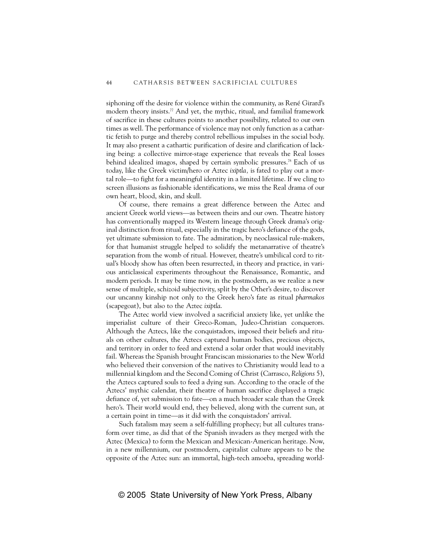siphoning off the desire for violence within the community, as René Girard's modern theory insists.<sup>77</sup> And yet, the mythic, ritual, and familial framework of sacrifice in these cultures points to another possibility, related to our own times as well. The performance of violence may not only function as a cathartic fetish to purge and thereby control rebellious impulses in the social body. It may also present a cathartic purification of desire and clarification of lacking being: a collective mirror-stage experience that reveals the Real losses behind idealized imagos, shaped by certain symbolic pressures.<sup>78</sup> Each of us today, like the Greek victim/hero or Aztec *ixiptla,* is fated to play out a mortal role—to fight for a meaningful identity in a limited lifetime. If we cling to screen illusions as fashionable identifications, we miss the Real drama of our own heart, blood, skin, and skull.

Of course, there remains a great difference between the Aztec and ancient Greek world views—as between theirs and our own. Theatre history has conventionally mapped its Western lineage through Greek drama's original distinction from ritual, especially in the tragic hero's defiance of the gods, yet ultimate submission to fate. The admiration, by neoclassical rule-makers, for that humanist struggle helped to solidify the metanarrative of theatre's separation from the womb of ritual. However, theatre's umbilical cord to ritual's bloody show has often been resurrected, in theory and practice, in various anticlassical experiments throughout the Renaissance, Romantic, and modern periods. It may be time now, in the postmodern, as we realize a new sense of multiple, schizoid subjectivity, split by the Other's desire, to discover our uncanny kinship not only to the Greek hero's fate as ritual *pharmakos* (scapegoat), but also to the Aztec *ixiptla*.

The Aztec world view involved a sacrificial anxiety like, yet unlike the imperialist culture of their Greco-Roman, Judeo-Christian conquerors. Although the Aztecs, like the conquistadors, imposed their beliefs and rituals on other cultures, the Aztecs captured human bodies, precious objects, and territory in order to feed and extend a solar order that would inevitably fail. Whereas the Spanish brought Franciscan missionaries to the New World who believed their conversion of the natives to Christianity would lead to a millennial kingdom and the Second Coming of Christ (Carrasco, *Religions* 5), the Aztecs captured souls to feed a dying sun. According to the oracle of the Aztecs' mythic calendar, their theatre of human sacrifice displayed a tragic defiance of, yet submission to fate—on a much broader scale than the Greek hero's. Their world would end, they believed, along with the current sun, at a certain point in time—as it did with the conquistadors' arrival.

Such fatalism may seem a self-fulfilling prophecy; but all cultures transform over time, as did that of the Spanish invaders as they merged with the Aztec (Mexica) to form the Mexican and Mexican-American heritage. Now, in a new millennium, our postmodern, capitalist culture appears to be the opposite of the Aztec sun: an immortal, high-tech amoeba, spreading world